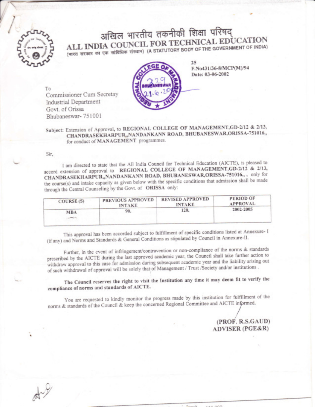

अखिल भारतीय तकनीकी शिक्षा परिषद् ALL INDIA COUNCIL FOR TECHNICAL EDUCATION (भारत सरकार का एक सांविधिक संस्थान) (A STATUTORY BODY OF THE GOVERNMENT OF INDIA)



F.No431/36-8/MCP(M)/94 Date: 03-06-2002

To Commissioner Cum Secretay Industrial Department Govt. of Orissa Bhubaneswar-751001

Subject: Extension of Approval, to REGIONAL COLLEGE OF MANAGEMENT, GD-2/12 & 2/13, CHANDRASEKHARPUR"NANDANKANN ROAD, BHUBANESWAR,ORISSA-751016,, for conduct of MANAGEMENT programmes.

## Sir.

I am directed to state that the All India Council for Technical Education (AICTE), is pleased to accord extension of approval to REGIONAL COLLEGE OF MANAGEMENT, GD-2/12 & 2/13, CHANDRASEKHARPUR"NANDANKANN ROAD, BHUBANESWAR, ORISSA-751016,,, only for the course(s) and intake capacity as given below with the specific conditions that admission shall be made through the Central Counseling by the Govt. of ORISSA only:

| PREVIOUS APPROVED<br><b>INTAKE</b> | <b>REVISED APPROVED</b><br><b>INTAKE</b> | <b>PERIOD OF</b><br><b>APPROVAL</b> |
|------------------------------------|------------------------------------------|-------------------------------------|
| 90.                                | 120.                                     | 2002-2005                           |
|                                    |                                          |                                     |

This approval has been accorded subject to fulfillment of specific conditions listed at Annexure- I (if any) and Norms and Standards & General Conditions as stipulated by Council in Annexure-II.

Further, in the event of infringement/contravention or non-compliance of the norms & standards prescribed by the AICTE during the last approved academic year, the Council shall take further action to withdraw approval to this case for admission during subsequent academic year and the liability arising out of such withdrawal of approval will be solely that of Management / Trust /Society and/or institutions.

The Council reserves the right to visit the Institution any time it may deem fit to verify the compliance of norms and standards of AICTE.

You are requested to kindly monitor the progress made by this institution for fulfillment of the norms & standards of the Council & keep the concerned Regional Committee and AICTE informed.

## (PROF. R.S.GAUD) **ADVISER (PGE&R)**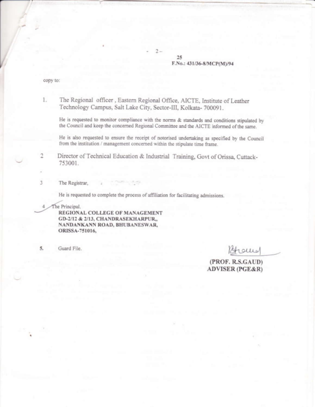25 F.No.: 431/36-8/MCP(M)/94

copy to:

2

3

1. The Regional officer, Eastern Regional Office, AICTE, Institute of Leather Technoiogy Campus, Salt Lake City, Sector-III, Kolkata- 700091.

He is requested to monitor compliance with the norms & standards and conditions stipulated by the Councii and keep the concerned Regional Committee and the AICTE informed of the same.

1

He is also requested to ensure the receipt of notorised undertaking as specified by the Councii from the institution / management concerned within the stipulate time frame.

Director of Technical Education & Industrial Training, Govt of Orissa, Cuttack-753001.

The Registrar,

He is requested to complete the process of affiliation for faciiitating admissions.

The Principal.<br>REGIONAL COLLEGE OF MANAGEMENT GD-2/12 & 2/13, CHANDRASEKHARPUR,, NANDANKANN ROAD, BHUBANESWAR, 0RISSA-751016,

5. Guard File. Blocked

(PROF. R.S.GAUD) ADWSER (PGE&R)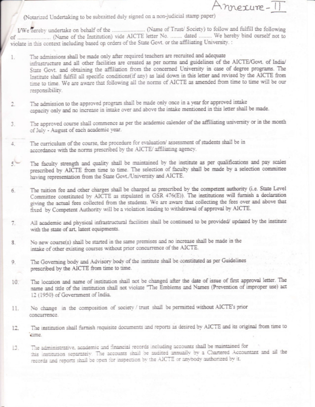(Notarized Undertaking to be submitted duly signed on a non-judicial stamp paper)

violate in this context including based op orders of the State Govt. or the affiliating University. :

mexure-

- The admissions shall be made only after required teachers are recruited and adequate  $1.$ infrastructure and all other facilities are created as per norms and guidelines of the AICTE/Govt. of India/ State Govt. and obtaining the affiliation from the concerned University in case of degree programs. The Institute shall fulfill all specific conditions(if any) as laid down in this letter and revised by the AICTE from time to time. We are aware that following all the norms of AICTE as amended from time to time will be our responsibility.
- The admission to the approved program shall be made only once in a year for approved intake 2. capacity only and no increase in intake over and above the intake mentioned in this letter shall be made.
- The approved course shall commence as per the academic calender of the affiliating university or in the month 3. of July - August of each academic year.
- The curriculum of the course, the procedure for evaluation/ assessment of students shall be in  $4^{+}_{-}$ accordance with the norms prescribed by the AICTE/ affiliating agency.
- The faculty strength and quality shall be maintained by the institute as per qualifications and pay scales  $5$ prescribed by AICTE from time to time. The selection of faculty shall be made by a selection committee having representation from the State Govt./University and AICTE.
- The tuition fee and other charges shall be charged as prescribed by the competent authority (i.e. State Level 6. Committee constituted by AICTE as stipulated in GSR 476(E)). The institutions will furnish a declaration giving the actual fees collected from the students. We are aware that collecting the fees over and above that fixed by Competent Authority will be a violation leading to withdrawal of approval by AICTE.
- All academic and physical infrastructural facilities shall be continued to be provided/ updated by the institute 7. with the state of art, latest equipments.
- No new course(s) shall be started in the same premises and no increase shall be made in the 8. intake of other existing courses without prior concurrence of the AICTE.
- The Governing body and Advisory body of the institute shall be constituted as per Guidelines 9. prescribed by the AICTE from time to time.
- The location and name of institution shall not be changed after the date of issue of first approval letter. The  $10^{-}$ name and title of the institution shall not violate "The Emblems and Names (Prevention of improper use) act 12 (1950) of Government of India.
- No change in the composition of society / trust shall be permitted without AICTE's prior 11. concurrence.
- The institution shall furnish requisite documents and reports as desired by AICTE and its original from time to 12. cime.
- The administrative, academic and financial records including accounts shall be maintained for 13. this institution separately. The accounts shall be audited annually by a Chartered Accountant and all the records and reports shall be open for inspection by the AICTE or anybody authorized by it.